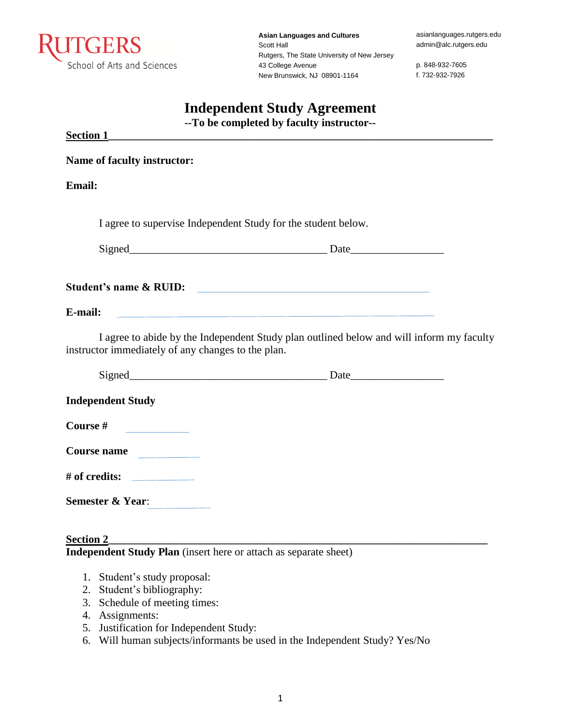

**Asian Languages and Cultures** Scott Hall Rutgers, The State University of New Jersey 43 College Avenue New Brunswick, NJ 08901-1164

asianlanguages.rutgers.edu admin@alc.rutgers.edu

p. 848-932-7605 f. 732-932-7926

## **Independent Study Agreement**

**--To be completed by faculty instructor--**

| <b>Section 1</b>                                                                                                                 |                                                                                          |
|----------------------------------------------------------------------------------------------------------------------------------|------------------------------------------------------------------------------------------|
| <b>Name of faculty instructor:</b>                                                                                               |                                                                                          |
| <b>Email:</b>                                                                                                                    |                                                                                          |
| I agree to supervise Independent Study for the student below.                                                                    |                                                                                          |
|                                                                                                                                  |                                                                                          |
| Student's name & RUID:                                                                                                           |                                                                                          |
| E-mail:                                                                                                                          | <u> 1989 - Johann Stoff, amerikansk politiker (d. 1989)</u>                              |
| instructor immediately of any changes to the plan.                                                                               | I agree to abide by the Independent Study plan outlined below and will inform my faculty |
|                                                                                                                                  |                                                                                          |
| <b>Independent Study</b>                                                                                                         |                                                                                          |
| Course #<br><u> 1990 - Jan Jawa Barat, prima prima prima prima prima prima prima prima prima prima prima prima prima prima p</u> |                                                                                          |
| Course name                                                                                                                      |                                                                                          |
|                                                                                                                                  |                                                                                          |
| <b>Semester &amp; Year:</b>                                                                                                      |                                                                                          |
|                                                                                                                                  |                                                                                          |

**Section 2\_\_\_\_\_\_\_\_\_\_\_\_\_\_\_\_\_\_\_\_\_\_\_\_\_\_\_\_\_\_\_\_\_\_\_\_\_\_\_\_\_\_\_\_\_\_\_\_\_\_\_\_\_\_\_\_\_\_\_\_\_\_\_\_\_\_\_\_\_ Independent Study Plan** (insert here or attach as separate sheet)

- 1. Student's study proposal:
- 2. Student's bibliography:
- 3. Schedule of meeting times:
- 4. Assignments:
- 5. Justification for Independent Study:
- 6. Will human subjects/informants be used in the Independent Study? Yes/No